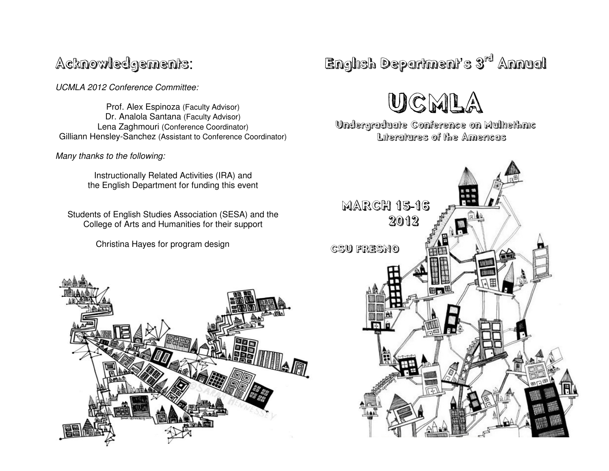# Acknowledgements :

UCMLA 2012 Conference Committee:

Prof. Alex Espinoza (Faculty Advisor) Dr. Analola Santana (Faculty Advisor) Lena Zaghmouri (Conference Coordinator)Gilliann Hensley-Sanchez (Assistant to Conference Coordinator)

Many thanks to the following:

Instructionally Related Activities (IRA) and the English Department for funding this event

Students of English Studies Association (SESA) and the College of Arts and Humanities for their support

Christina Hayes for program design



English Department's 3<sup>rd</sup> Annual

UCMLA

 Undergraduate Conference on Multiethnic Literatures of the Americas

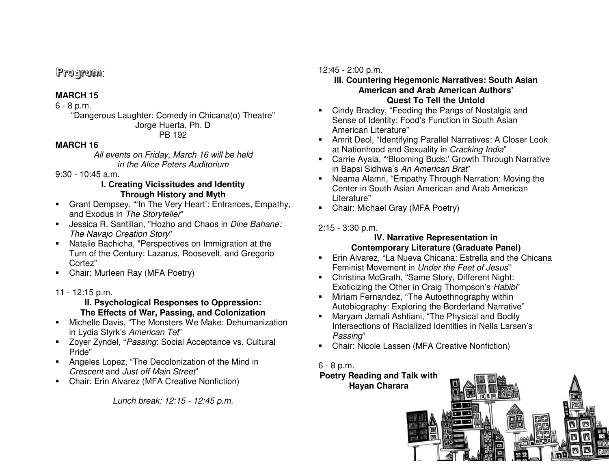## Program:

## **MARCH 15**

#### 6 - 8 p.m.

 "Dangerous Laughter: Comedy in Chicana(o) Theatre" Jorge Huerta, Ph. D PB 192

#### **MARCH 16**

 All events on Friday, March 16 will be held in the Alice Peters Auditorium

9:30 - 10:45 a.m.

#### **I. Creating Vicissitudes and Identity Through History and Myth**

- Grant Dempsey, "'In The Very Heart': Entrances, Empathy, and Exodus in The Storyteller"
- Uessica R. Santillan, "Hozho and Chaos in Dine Bahane: The Navajo Creation Story"
- Natalie Bachicha, "Perspectives on Immigration at the Turn of the Century: Lazarus, Roosevelt, and Gregorio Cortez"
- Chair: Murleen Ray (MFA Poetry)
- 11 12:15 p.m.

#### **II. Psychological Responses to Oppression: The Effects of War, Passing, and Colonization**

- Michelle Davis, "The Monsters We Make: Dehumanization in Lydia Styrk's American Tet"
- DED Zoyer Zyndel, "Passing: Social Acceptance vs. Cultural Pride"
- **Angeles Lopez, "The Decolonization of the Mind in** Crescent and Just off Main Street"
- **Chair: Erin Alvarez (MFA Creative Nonfiction)**

Lunch break: 12:15 - 12:45 p.m.

## 12:45 - 2:00 p.m.

#### **III. Countering Hegemonic Narratives: South Asian American and Arab American Authors' Quest To Tell the Untold**

- Cindy Bradley, "Feeding the Pangs of Nostalgia and Sense of Identity: Food's Function in South Asian American Literature"
- Amrit Deol, "Identifying Parallel Narratives: A Closer Look at Nationhood and Sexuality in Cracking India"
- Carrie Ayala, "'Blooming Buds:' Growth Through Narrative in Bapsi Sidhwa's An American Brat"
- Neama Alamri, "Empathy Through Narration: Moving the Center in South Asian American and Arab American Literature"
- Chair: Michael Gray (MFA Poetry)

## 2:15 - 3:30 p.m.

### **IV. Narrative Representation in Contemporary Literature (Graduate Panel)**

- Erin Alvarez, "La Nueva Chicana: Estrella and the Chicana Feminist Movement in Under the Feet of Jesus"
- Christina McGrath, "Same Story, Different Night: Exoticizing the Other in Craig Thompson's Habibi"
- **Miriam Fernandez, "The Autoethnography within** Autobiography: Exploring the Borderland Narrative"
- Maryam Jamali Ashtiani, "The Physical and Bodily Intersections of Racialized Identities in Nella Larsen's Passing"
- **Chair: Nicole Lassen (MFA Creative Nonfiction)**

## 6 - 8 p.m.

### **Poetry Reading and Talk with Hayan Charara**